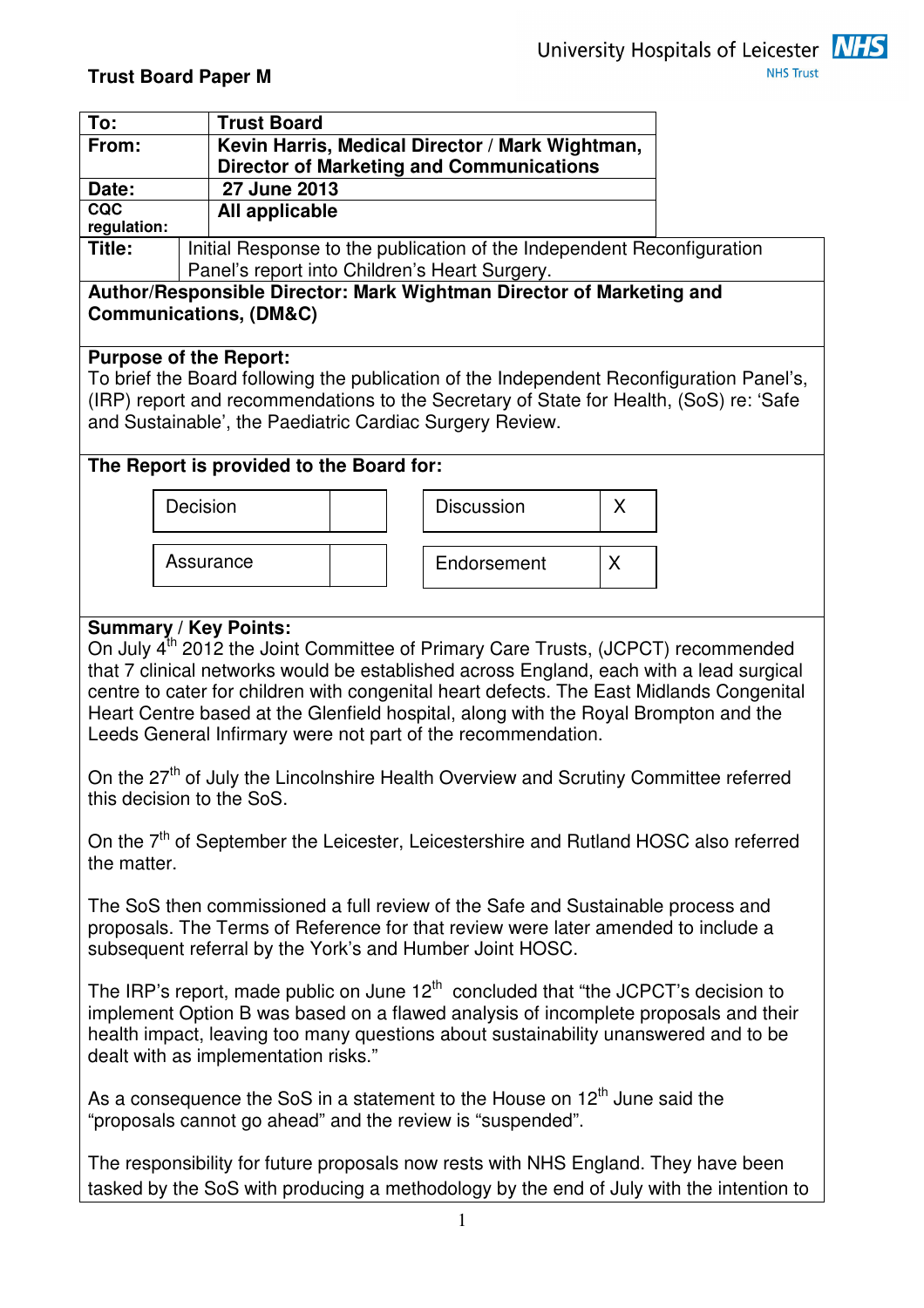

| To:                                                                                                                                                                                                                                                                                                        |                                                                        | <b>Trust Board</b>                       |  |                                                                                                    |    |  |  |
|------------------------------------------------------------------------------------------------------------------------------------------------------------------------------------------------------------------------------------------------------------------------------------------------------------|------------------------------------------------------------------------|------------------------------------------|--|----------------------------------------------------------------------------------------------------|----|--|--|
| From:                                                                                                                                                                                                                                                                                                      |                                                                        |                                          |  | Kevin Harris, Medical Director / Mark Wightman,<br><b>Director of Marketing and Communications</b> |    |  |  |
| 27 June 2013<br>Date:                                                                                                                                                                                                                                                                                      |                                                                        |                                          |  |                                                                                                    |    |  |  |
| CQC                                                                                                                                                                                                                                                                                                        |                                                                        | All applicable                           |  |                                                                                                    |    |  |  |
| regulation:<br>Title:                                                                                                                                                                                                                                                                                      | Initial Response to the publication of the Independent Reconfiguration |                                          |  |                                                                                                    |    |  |  |
| Panel's report into Children's Heart Surgery.<br>Author/Responsible Director: Mark Wightman Director of Marketing and<br><b>Communications, (DM&amp;C)</b>                                                                                                                                                 |                                                                        |                                          |  |                                                                                                    |    |  |  |
| <b>Purpose of the Report:</b><br>To brief the Board following the publication of the Independent Reconfiguration Panel's,<br>(IRP) report and recommendations to the Secretary of State for Health, (SoS) re: 'Safe<br>and Sustainable', the Paediatric Cardiac Surgery Review.                            |                                                                        |                                          |  |                                                                                                    |    |  |  |
|                                                                                                                                                                                                                                                                                                            |                                                                        | The Report is provided to the Board for: |  |                                                                                                    |    |  |  |
|                                                                                                                                                                                                                                                                                                            | Decision                                                               |                                          |  | <b>Discussion</b>                                                                                  | X  |  |  |
|                                                                                                                                                                                                                                                                                                            | Assurance                                                              |                                          |  | Endorsement                                                                                        | X. |  |  |
| Heart Centre based at the Glenfield hospital, along with the Royal Brompton and the<br>Leeds General Infirmary were not part of the recommendation.<br>On the 27 <sup>th</sup> of July the Lincolnshire Health Overview and Scrutiny Committee referred                                                    |                                                                        |                                          |  |                                                                                                    |    |  |  |
| this decision to the SoS.<br>On the 7 <sup>th</sup> of September the Leicester, Leicestershire and Rutland HOSC also referred<br>the matter.                                                                                                                                                               |                                                                        |                                          |  |                                                                                                    |    |  |  |
| The SoS then commissioned a full review of the Safe and Sustainable process and<br>proposals. The Terms of Reference for that review were later amended to include a<br>subsequent referral by the York's and Humber Joint HOSC.                                                                           |                                                                        |                                          |  |                                                                                                    |    |  |  |
| The IRP's report, made public on June $12th$ concluded that "the JCPCT's decision to<br>implement Option B was based on a flawed analysis of incomplete proposals and their<br>health impact, leaving too many questions about sustainability unanswered and to be<br>dealt with as implementation risks." |                                                                        |                                          |  |                                                                                                    |    |  |  |
| As a consequence the SoS in a statement to the House on 12 <sup>th</sup> June said the<br>"proposals cannot go ahead" and the review is "suspended".                                                                                                                                                       |                                                                        |                                          |  |                                                                                                    |    |  |  |
| The responsibility for future proposals now rests with NHS England. They have been<br>tasked by the SoS with producing a methodology by the end of July with the intention to                                                                                                                              |                                                                        |                                          |  |                                                                                                    |    |  |  |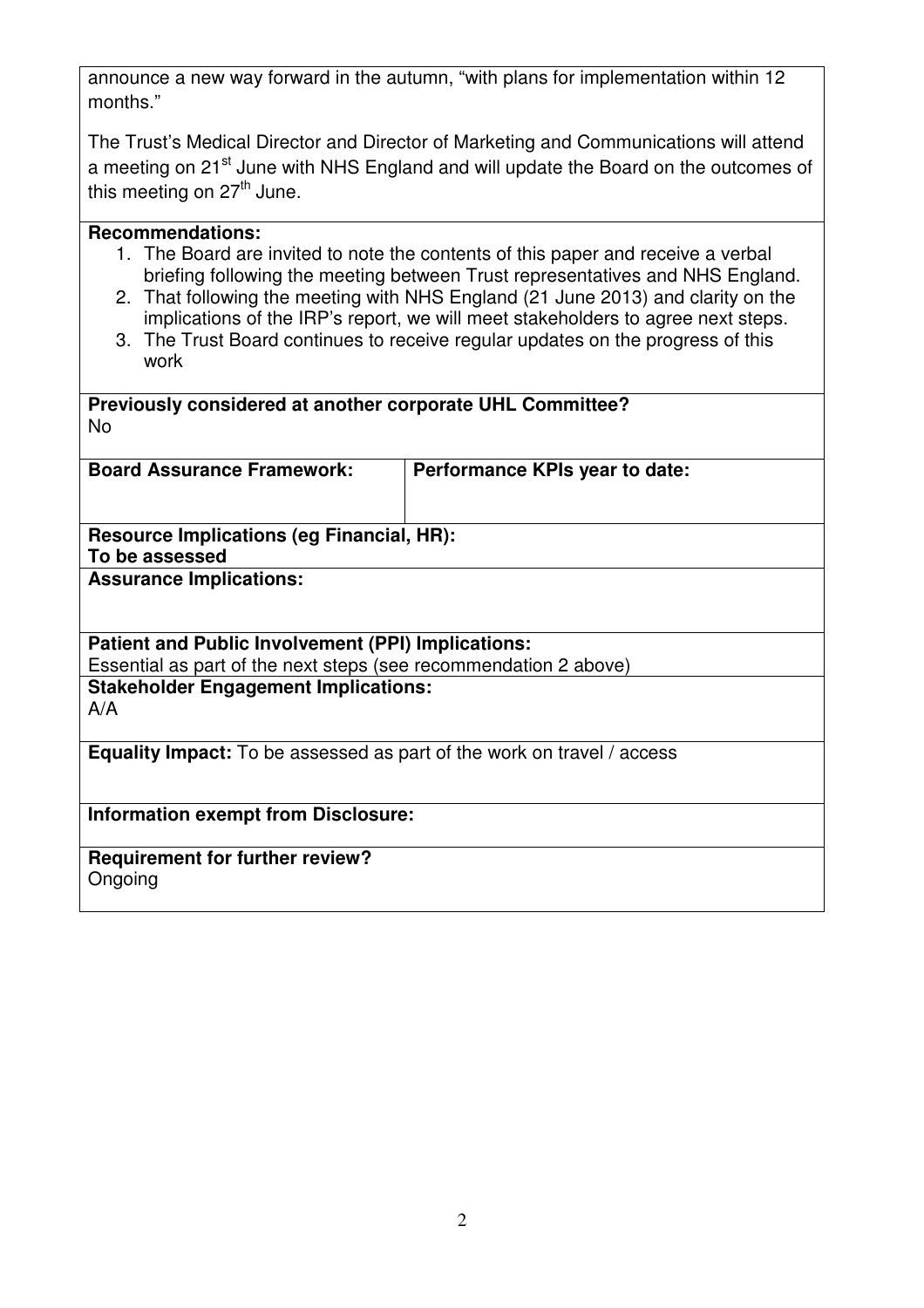announce a new way forward in the autumn, "with plans for implementation within 12 months."

The Trust's Medical Director and Director of Marketing and Communications will attend a meeting on 21<sup>st</sup> June with NHS England and will update the Board on the outcomes of this meeting on  $27<sup>th</sup>$  June.

# **Recommendations:**

- 1. The Board are invited to note the contents of this paper and receive a verbal briefing following the meeting between Trust representatives and NHS England.
- 2. That following the meeting with NHS England (21 June 2013) and clarity on the implications of the IRP's report, we will meet stakeholders to agree next steps.
- 3. The Trust Board continues to receive regular updates on the progress of this work

# **Previously considered at another corporate UHL Committee?**  No

**Board Assurance Framework: Performance KPIs year to date:** 

**Resource Implications (eg Financial, HR): To be assessed** 

**Assurance Implications:** 

# **Patient and Public Involvement (PPI) Implications:**

Essential as part of the next steps (see recommendation 2 above)

**Stakeholder Engagement Implications:**  A/A

**Equality Impact:** To be assessed as part of the work on travel / access

**Information exempt from Disclosure:** 

**Requirement for further review? Ongoing**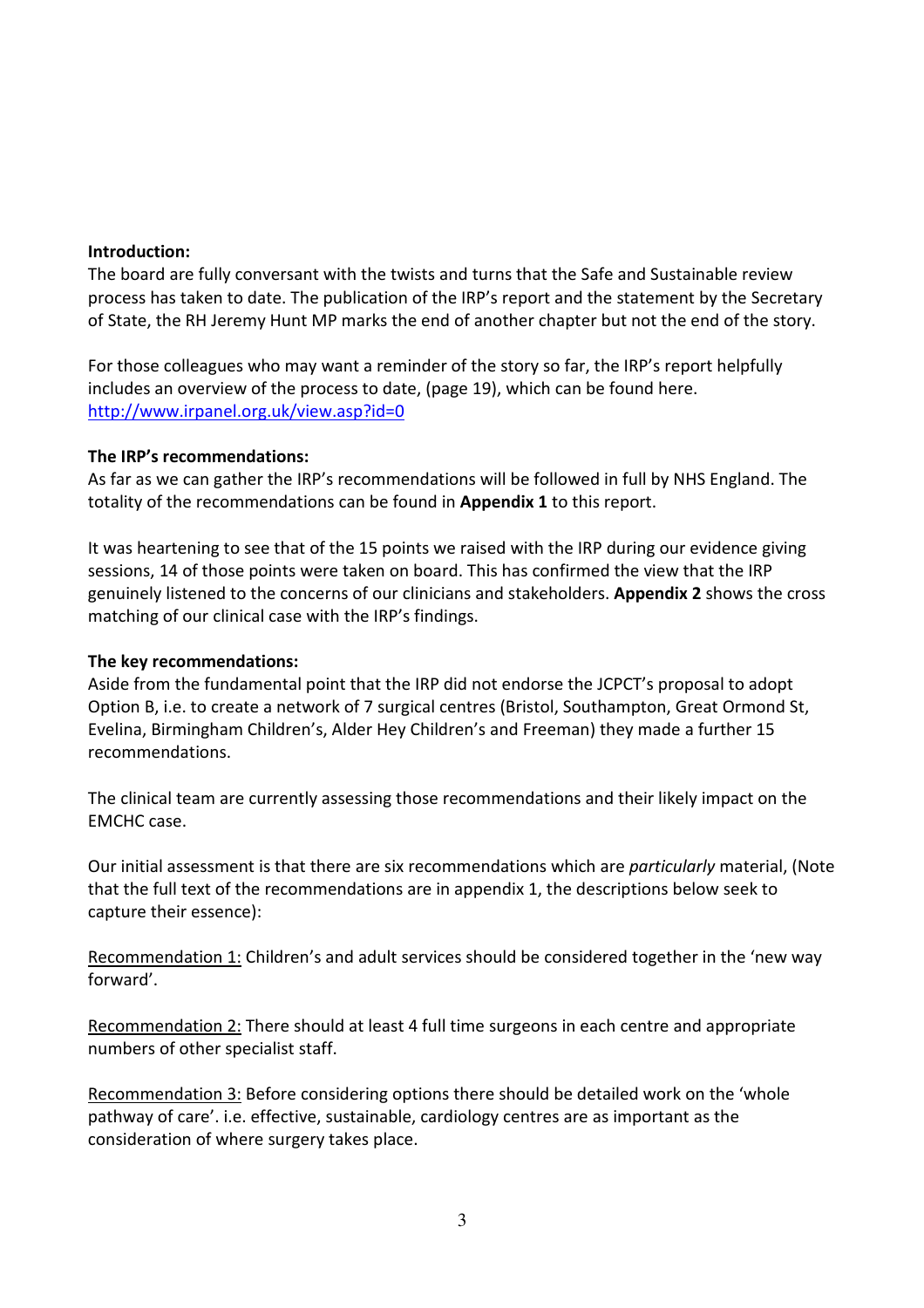#### Introduction:

The board are fully conversant with the twists and turns that the Safe and Sustainable review process has taken to date. The publication of the IRP's report and the statement by the Secretary of State, the RH Jeremy Hunt MP marks the end of another chapter but not the end of the story.

For those colleagues who may want a reminder of the story so far, the IRP's report helpfully includes an overview of the process to date, (page 19), which can be found here. http://www.irpanel.org.uk/view.asp?id=0

#### The IRP's recommendations:

As far as we can gather the IRP's recommendations will be followed in full by NHS England. The totality of the recommendations can be found in **Appendix 1** to this report.

It was heartening to see that of the 15 points we raised with the IRP during our evidence giving sessions, 14 of those points were taken on board. This has confirmed the view that the IRP genuinely listened to the concerns of our clinicians and stakeholders. Appendix 2 shows the cross matching of our clinical case with the IRP's findings.

#### The key recommendations:

Aside from the fundamental point that the IRP did not endorse the JCPCT's proposal to adopt Option B, i.e. to create a network of 7 surgical centres (Bristol, Southampton, Great Ormond St, Evelina, Birmingham Children's, Alder Hey Children's and Freeman) they made a further 15 recommendations.

The clinical team are currently assessing those recommendations and their likely impact on the EMCHC case.

Our initial assessment is that there are six recommendations which are particularly material, (Note that the full text of the recommendations are in appendix 1, the descriptions below seek to capture their essence):

Recommendation 1: Children's and adult services should be considered together in the 'new way forward'.

Recommendation 2: There should at least 4 full time surgeons in each centre and appropriate numbers of other specialist staff.

Recommendation 3: Before considering options there should be detailed work on the 'whole pathway of care'. i.e. effective, sustainable, cardiology centres are as important as the consideration of where surgery takes place.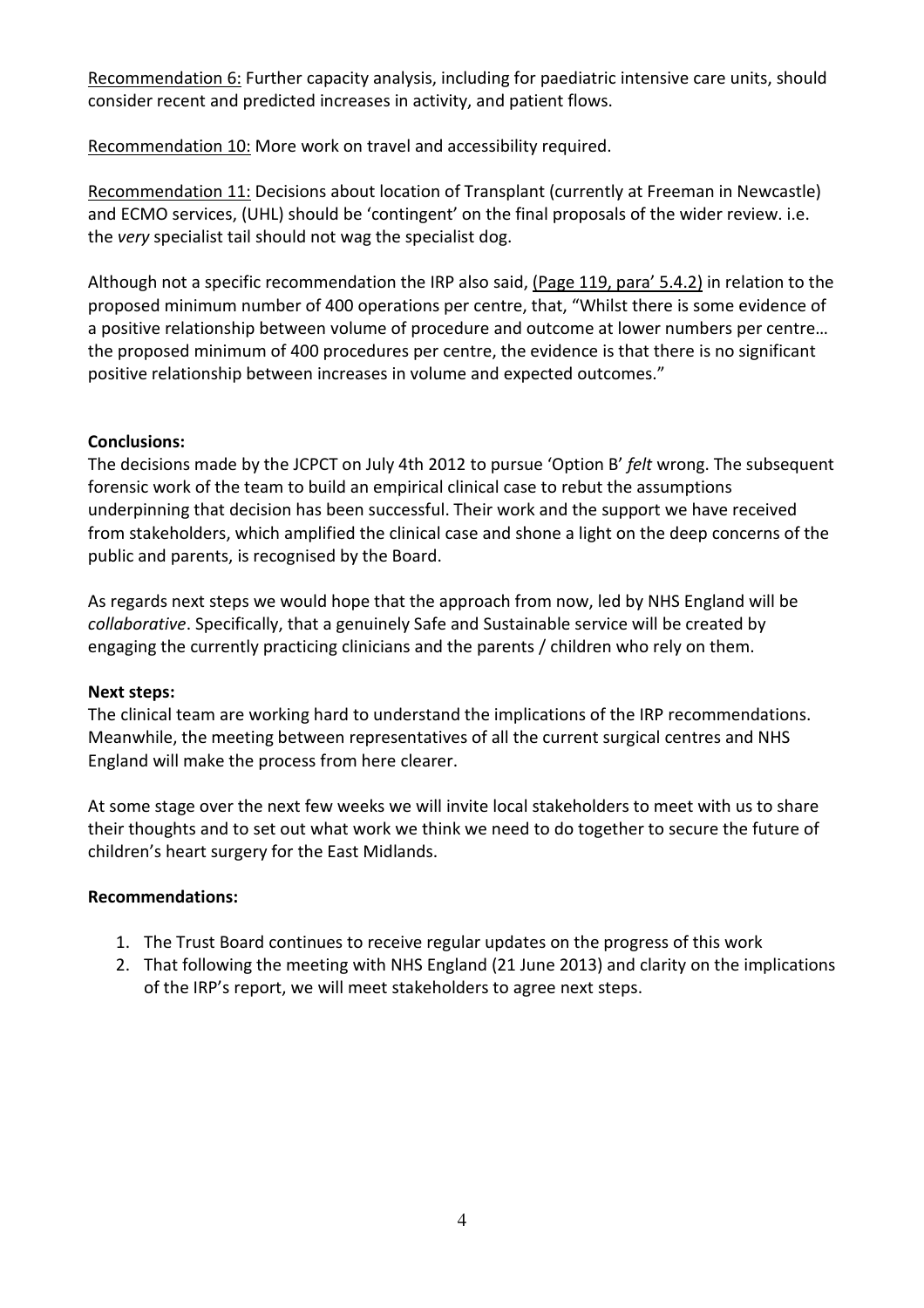Recommendation 6: Further capacity analysis, including for paediatric intensive care units, should consider recent and predicted increases in activity, and patient flows.

Recommendation 10: More work on travel and accessibility required.

Recommendation 11: Decisions about location of Transplant (currently at Freeman in Newcastle) and ECMO services, (UHL) should be 'contingent' on the final proposals of the wider review. i.e. the very specialist tail should not wag the specialist dog.

Although not a specific recommendation the IRP also said, (Page 119, para' 5.4.2) in relation to the proposed minimum number of 400 operations per centre, that, "Whilst there is some evidence of a positive relationship between volume of procedure and outcome at lower numbers per centre… the proposed minimum of 400 procedures per centre, the evidence is that there is no significant positive relationship between increases in volume and expected outcomes."

## Conclusions:

The decisions made by the JCPCT on July 4th 2012 to pursue 'Option B' felt wrong. The subsequent forensic work of the team to build an empirical clinical case to rebut the assumptions underpinning that decision has been successful. Their work and the support we have received from stakeholders, which amplified the clinical case and shone a light on the deep concerns of the public and parents, is recognised by the Board.

As regards next steps we would hope that the approach from now, led by NHS England will be collaborative. Specifically, that a genuinely Safe and Sustainable service will be created by engaging the currently practicing clinicians and the parents / children who rely on them.

#### Next steps:

The clinical team are working hard to understand the implications of the IRP recommendations. Meanwhile, the meeting between representatives of all the current surgical centres and NHS England will make the process from here clearer.

At some stage over the next few weeks we will invite local stakeholders to meet with us to share their thoughts and to set out what work we think we need to do together to secure the future of children's heart surgery for the East Midlands.

## Recommendations:

- 1. The Trust Board continues to receive regular updates on the progress of this work
- 2. That following the meeting with NHS England (21 June 2013) and clarity on the implications of the IRP's report, we will meet stakeholders to agree next steps.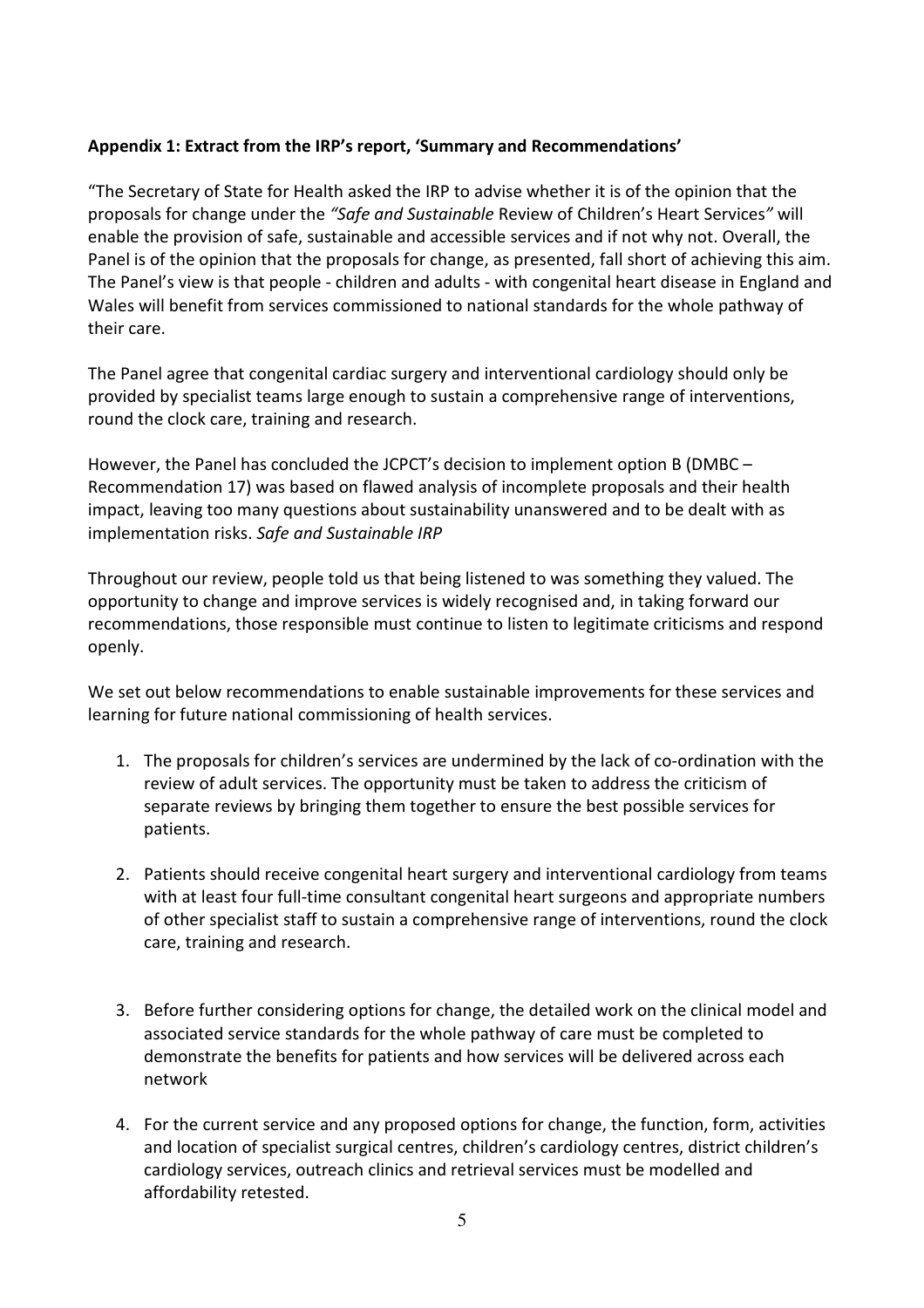## Appendix 1: Extract from the IRP's report, 'Summary and Recommendations'

"The Secretary of State for Health asked the IRP to advise whether it is of the opinion that the proposals for change under the "Safe and Sustainable Review of Children's Heart Services" will enable the provision of safe, sustainable and accessible services and if not why not. Overall, the Panel is of the opinion that the proposals for change, as presented, fall short of achieving this aim. The Panel's view is that people - children and adults - with congenital heart disease in England and Wales will benefit from services commissioned to national standards for the whole pathway of their care.

The Panel agree that congenital cardiac surgery and interventional cardiology should only be provided by specialist teams large enough to sustain a comprehensive range of interventions, round the clock care, training and research.

However, the Panel has concluded the JCPCT's decision to implement option B (DMBC – Recommendation 17) was based on flawed analysis of incomplete proposals and their health impact, leaving too many questions about sustainability unanswered and to be dealt with as implementation risks. Safe and Sustainable IRP

Throughout our review, people told us that being listened to was something they valued. The opportunity to change and improve services is widely recognised and, in taking forward our recommendations, those responsible must continue to listen to legitimate criticisms and respond openly.

We set out below recommendations to enable sustainable improvements for these services and learning for future national commissioning of health services.

- 1. The proposals for children's services are undermined by the lack of co-ordination with the review of adult services. The opportunity must be taken to address the criticism of separate reviews by bringing them together to ensure the best possible services for patients.
- 2. Patients should receive congenital heart surgery and interventional cardiology from teams with at least four full-time consultant congenital heart surgeons and appropriate numbers of other specialist staff to sustain a comprehensive range of interventions, round the clock care, training and research.
- 3. Before further considering options for change, the detailed work on the clinical model and associated service standards for the whole pathway of care must be completed to demonstrate the benefits for patients and how services will be delivered across each network
- 4. For the current service and any proposed options for change, the function, form, activities and location of specialist surgical centres, children's cardiology centres, district children's cardiology services, outreach clinics and retrieval services must be modelled and affordability retested.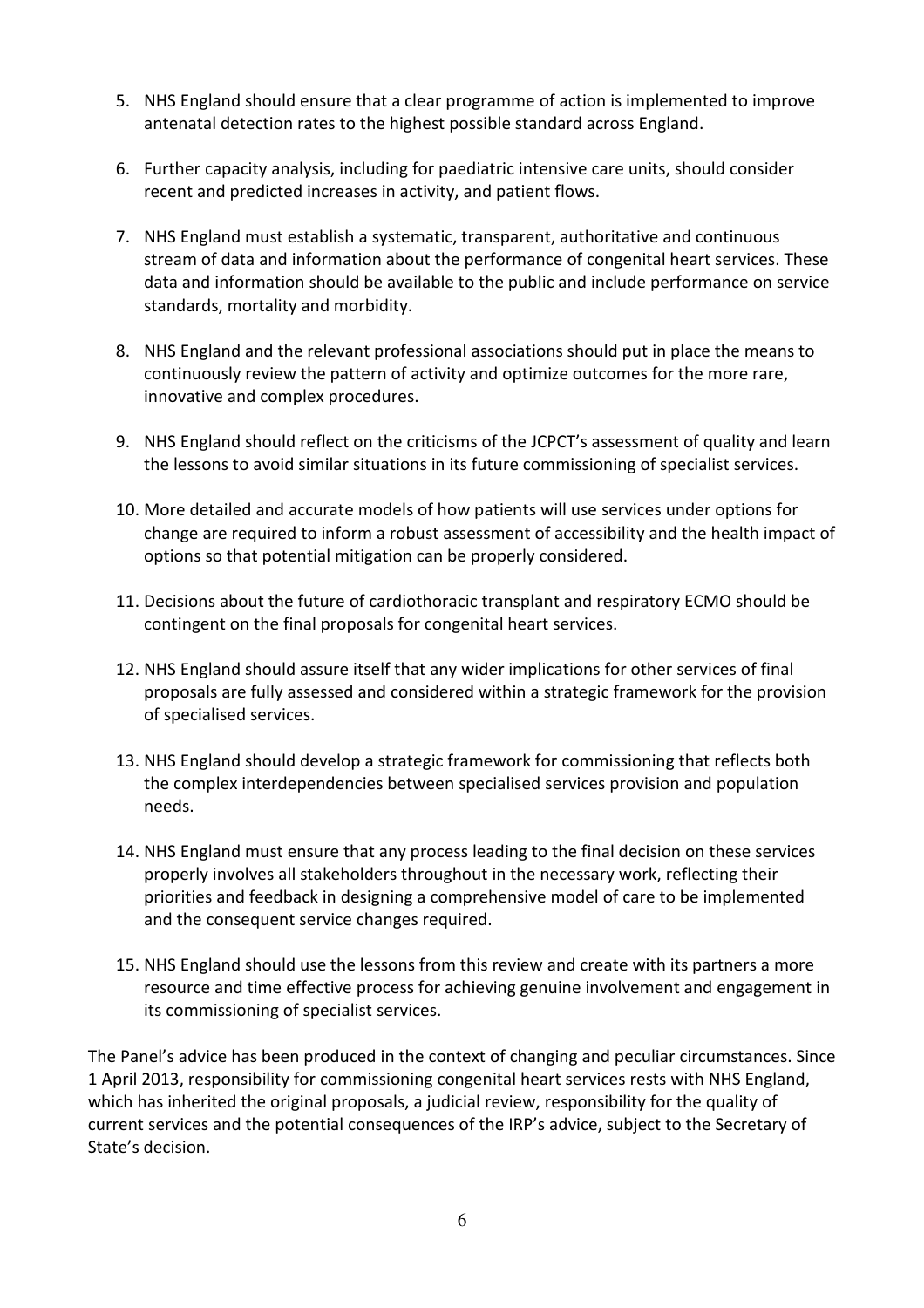- 5. NHS England should ensure that a clear programme of action is implemented to improve antenatal detection rates to the highest possible standard across England.
- 6. Further capacity analysis, including for paediatric intensive care units, should consider recent and predicted increases in activity, and patient flows.
- 7. NHS England must establish a systematic, transparent, authoritative and continuous stream of data and information about the performance of congenital heart services. These data and information should be available to the public and include performance on service standards, mortality and morbidity.
- 8. NHS England and the relevant professional associations should put in place the means to continuously review the pattern of activity and optimize outcomes for the more rare, innovative and complex procedures.
- 9. NHS England should reflect on the criticisms of the JCPCT's assessment of quality and learn the lessons to avoid similar situations in its future commissioning of specialist services.
- 10. More detailed and accurate models of how patients will use services under options for change are required to inform a robust assessment of accessibility and the health impact of options so that potential mitigation can be properly considered.
- 11. Decisions about the future of cardiothoracic transplant and respiratory ECMO should be contingent on the final proposals for congenital heart services.
- 12. NHS England should assure itself that any wider implications for other services of final proposals are fully assessed and considered within a strategic framework for the provision of specialised services.
- 13. NHS England should develop a strategic framework for commissioning that reflects both the complex interdependencies between specialised services provision and population needs.
- 14. NHS England must ensure that any process leading to the final decision on these services properly involves all stakeholders throughout in the necessary work, reflecting their priorities and feedback in designing a comprehensive model of care to be implemented and the consequent service changes required.
- 15. NHS England should use the lessons from this review and create with its partners a more resource and time effective process for achieving genuine involvement and engagement in its commissioning of specialist services.

The Panel's advice has been produced in the context of changing and peculiar circumstances. Since 1 April 2013, responsibility for commissioning congenital heart services rests with NHS England, which has inherited the original proposals, a judicial review, responsibility for the quality of current services and the potential consequences of the IRP's advice, subject to the Secretary of State's decision.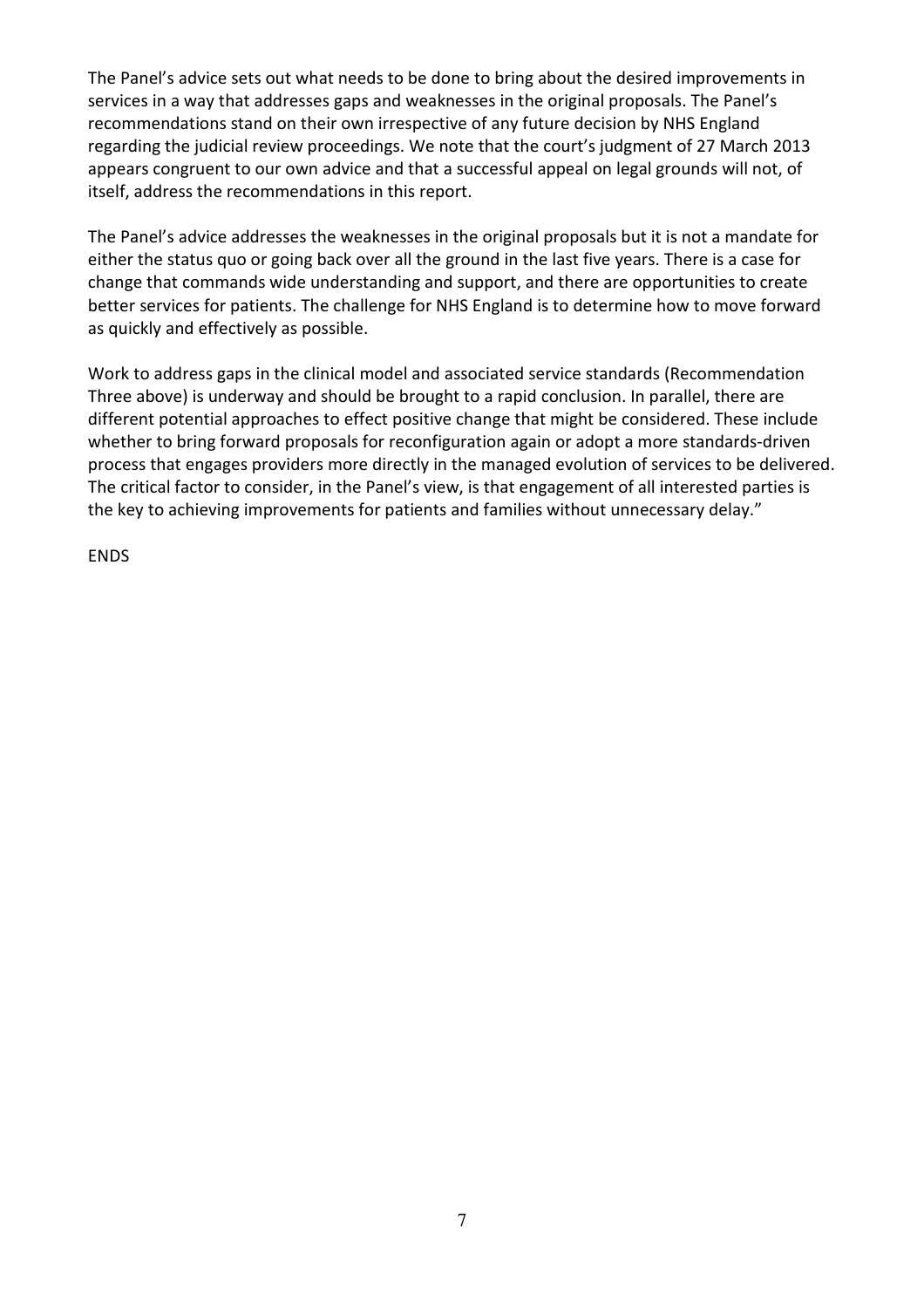The Panel's advice sets out what needs to be done to bring about the desired improvements in services in a way that addresses gaps and weaknesses in the original proposals. The Panel's recommendations stand on their own irrespective of any future decision by NHS England regarding the judicial review proceedings. We note that the court's judgment of 27 March 2013 appears congruent to our own advice and that a successful appeal on legal grounds will not, of itself, address the recommendations in this report.

The Panel's advice addresses the weaknesses in the original proposals but it is not a mandate for either the status quo or going back over all the ground in the last five years. There is a case for change that commands wide understanding and support, and there are opportunities to create better services for patients. The challenge for NHS England is to determine how to move forward as quickly and effectively as possible.

Work to address gaps in the clinical model and associated service standards (Recommendation Three above) is underway and should be brought to a rapid conclusion. In parallel, there are different potential approaches to effect positive change that might be considered. These include whether to bring forward proposals for reconfiguration again or adopt a more standards-driven process that engages providers more directly in the managed evolution of services to be delivered. The critical factor to consider, in the Panel's view, is that engagement of all interested parties is the key to achieving improvements for patients and families without unnecessary delay."

ENDS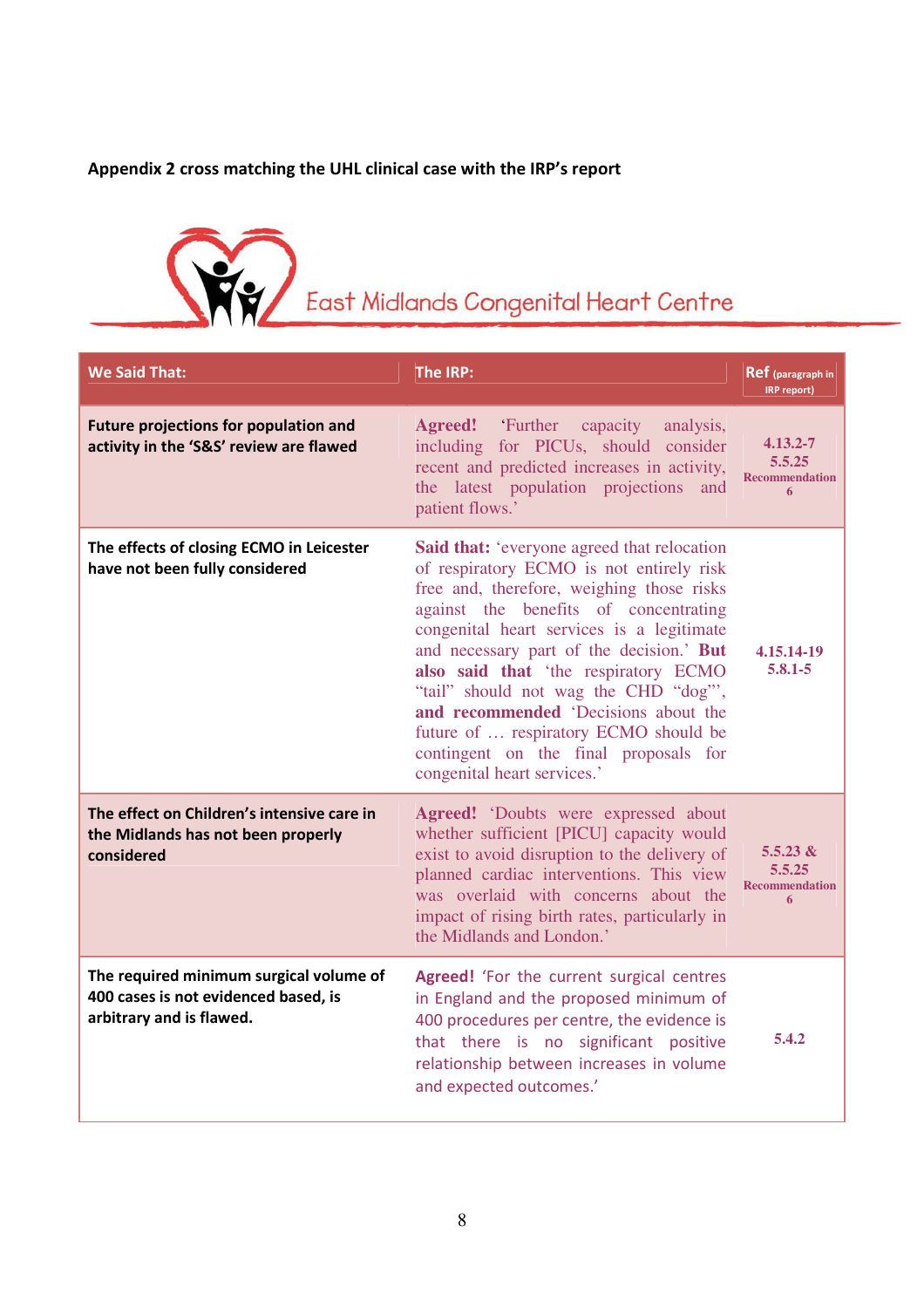# Appendix 2 cross matching the UHL clinical case with the IRP's report



| <b>We Said That:</b>                                                                                        | The IRP:                                                                                                                                                                                                                                                                                                                                                                                                                                                                                                                | Ref (paragraph in<br>IRP report)                     |
|-------------------------------------------------------------------------------------------------------------|-------------------------------------------------------------------------------------------------------------------------------------------------------------------------------------------------------------------------------------------------------------------------------------------------------------------------------------------------------------------------------------------------------------------------------------------------------------------------------------------------------------------------|------------------------------------------------------|
| <b>Future projections for population and</b><br>activity in the 'S&S' review are flawed                     | <b>Agreed!</b><br>Further capacity analysis,<br>including for PICUs, should consider<br>recent and predicted increases in activity,<br>the latest population projections<br>and<br>patient flows.'                                                                                                                                                                                                                                                                                                                      | $4.13.2 - 7$<br>5.5.25<br><b>Recommendation</b><br>6 |
| The effects of closing ECMO in Leicester<br>have not been fully considered                                  | <b>Said that:</b> 'everyone agreed that relocation<br>of respiratory ECMO is not entirely risk<br>free and, therefore, weighing those risks<br>against the benefits of concentrating<br>congenital heart services is a legitimate<br>and necessary part of the decision.' But<br>also said that 'the respiratory ECMO<br>"tail" should not wag the CHD "dog"',<br>and recommended 'Decisions about the<br>future of  respiratory ECMO should be<br>contingent on the final proposals for<br>congenital heart services.' | 4.15.14-19<br>$5.8.1 - 5$                            |
| The effect on Children's intensive care in<br>the Midlands has not been properly<br>considered              | Agreed! 'Doubts were expressed about<br>whether sufficient [PICU] capacity would<br>exist to avoid disruption to the delivery of<br>planned cardiac interventions. This view<br>was overlaid with concerns about the<br>impact of rising birth rates, particularly in<br>the Midlands and London.'                                                                                                                                                                                                                      | $5.5.23 \&$<br>5.5.25<br><b>Recommendation</b><br>6  |
| The required minimum surgical volume of<br>400 cases is not evidenced based, is<br>arbitrary and is flawed. | <b>Agreed!</b> 'For the current surgical centres<br>in England and the proposed minimum of<br>400 procedures per centre, the evidence is<br>that there is no significant positive<br>relationship between increases in volume<br>and expected outcomes.'                                                                                                                                                                                                                                                                | 5.4.2                                                |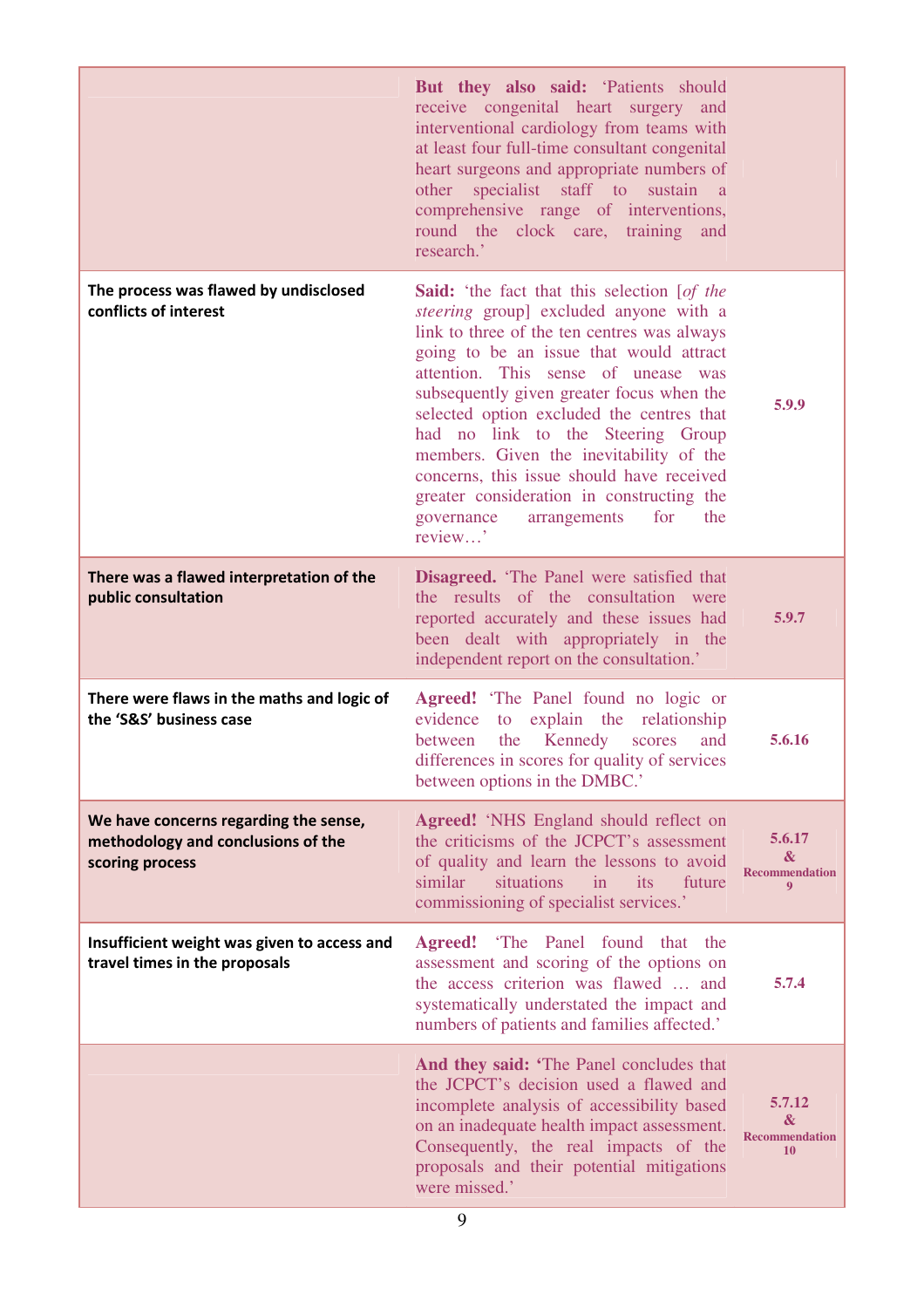|                                                                                                | But they also said: 'Patients should<br>receive congenital heart surgery and<br>interventional cardiology from teams with<br>at least four full-time consultant congenital<br>heart surgeons and appropriate numbers of<br>other specialist staff to sustain a<br>comprehensive range of interventions,<br>round the clock care, training<br>and<br>research.'                                                                                                                                                                                           |                                                      |
|------------------------------------------------------------------------------------------------|----------------------------------------------------------------------------------------------------------------------------------------------------------------------------------------------------------------------------------------------------------------------------------------------------------------------------------------------------------------------------------------------------------------------------------------------------------------------------------------------------------------------------------------------------------|------------------------------------------------------|
| The process was flawed by undisclosed<br>conflicts of interest                                 | <b>Said:</b> 'the fact that this selection [of the<br>steering group] excluded anyone with a<br>link to three of the ten centres was always<br>going to be an issue that would attract<br>attention. This sense of unease was<br>subsequently given greater focus when the<br>selected option excluded the centres that<br>had no link to the Steering Group<br>members. Given the inevitability of the<br>concerns, this issue should have received<br>greater consideration in constructing the<br>governance<br>for<br>the<br>arrangements<br>review' | 5.9.9                                                |
| There was a flawed interpretation of the<br>public consultation                                | <b>Disagreed.</b> 'The Panel were satisfied that<br>the results of the consultation were<br>reported accurately and these issues had<br>been dealt with appropriately in the<br>independent report on the consultation.'                                                                                                                                                                                                                                                                                                                                 | 5.9.7                                                |
| There were flaws in the maths and logic of<br>the 'S&S' business case                          | Agreed! 'The Panel found no logic or<br>to explain the relationship<br>evidence<br>the Kennedy<br>between<br>scores<br>and<br>differences in scores for quality of services<br>between options in the DMBC.'                                                                                                                                                                                                                                                                                                                                             | 5.6.16                                               |
| We have concerns regarding the sense,<br>methodology and conclusions of the<br>scoring process | <b>Agreed!</b> 'NHS England should reflect on<br>the criticisms of the JCPCT's assessment<br>of quality and learn the lessons to avoid<br>situations<br>similar<br>in its<br>future<br>commissioning of specialist services.'                                                                                                                                                                                                                                                                                                                            | 5.6.17<br>$\mathbf{x}$<br><b>Recommendation</b><br>9 |
| Insufficient weight was given to access and<br>travel times in the proposals                   | Agreed! 'The Panel found that the<br>assessment and scoring of the options on<br>the access criterion was flawed  and<br>systematically understated the impact and<br>numbers of patients and families affected.'                                                                                                                                                                                                                                                                                                                                        | 5.7.4                                                |
|                                                                                                | And they said: 'The Panel concludes that<br>the JCPCT's decision used a flawed and<br>incomplete analysis of accessibility based<br>on an inadequate health impact assessment.<br>Consequently, the real impacts of the<br>proposals and their potential mitigations<br>were missed.'                                                                                                                                                                                                                                                                    | 5.7.12<br>&<br><b>Recommendation</b><br><b>10</b>    |